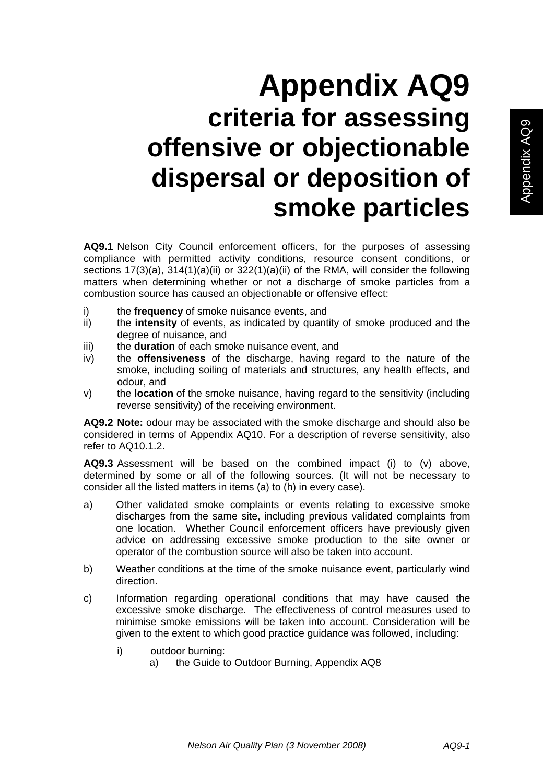## **Appendix AQ9 criteria for assessing offensive or objectionable dispersal or deposition of smoke particles**

**AQ9.1** Nelson City Council enforcement officers, for the purposes of assessing compliance with permitted activity conditions, resource consent conditions, or sections 17(3)(a), 314(1)(a)(ii) or 322(1)(a)(ii) of the RMA, will consider the following matters when determining whether or not a discharge of smoke particles from a combustion source has caused an objectionable or offensive effect:

- i) the **frequency** of smoke nuisance events, and
- ii) the **intensity** of events, as indicated by quantity of smoke produced and the degree of nuisance, and
- iii) the **duration** of each smoke nuisance event, and
- iv) the **offensiveness** of the discharge, having regard to the nature of the smoke, including soiling of materials and structures, any health effects, and odour, and
- v) the **location** of the smoke nuisance, having regard to the sensitivity (including reverse sensitivity) of the receiving environment.

**AQ9.2 Note:** odour may be associated with the smoke discharge and should also be considered in terms of Appendix AQ10. For a description of reverse sensitivity, also refer to AQ10.1.2.

**AQ9.3** Assessment will be based on the combined impact (i) to (v) above, determined by some or all of the following sources. (It will not be necessary to consider all the listed matters in items (a) to (h) in every case).

- a) Other validated smoke complaints or events relating to excessive smoke discharges from the same site, including previous validated complaints from one location. Whether Council enforcement officers have previously given advice on addressing excessive smoke production to the site owner or operator of the combustion source will also be taken into account.
- b) Weather conditions at the time of the smoke nuisance event, particularly wind direction.
- c) Information regarding operational conditions that may have caused the excessive smoke discharge. The effectiveness of control measures used to minimise smoke emissions will be taken into account. Consideration will be given to the extent to which good practice guidance was followed, including:
	- i) outdoor burning:
		- a) the Guide to Outdoor Burning, Appendix AQ8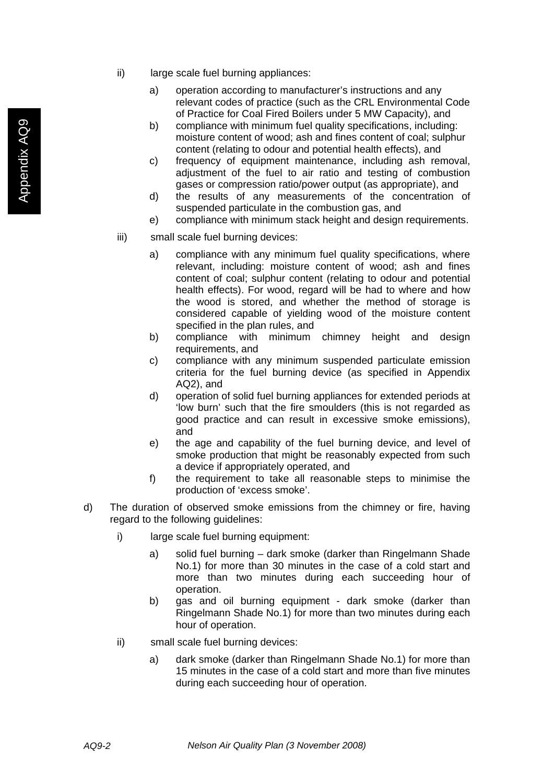- ii) large scale fuel burning appliances:
	- a) operation according to manufacturer's instructions and any relevant codes of practice (such as the CRL Environmental Code of Practice for Coal Fired Boilers under 5 MW Capacity), and
	- b) compliance with minimum fuel quality specifications, including: moisture content of wood; ash and fines content of coal; sulphur content (relating to odour and potential health effects), and
	- c) frequency of equipment maintenance, including ash removal, adjustment of the fuel to air ratio and testing of combustion gases or compression ratio/power output (as appropriate), and
	- d) the results of any measurements of the concentration of suspended particulate in the combustion gas, and
	- e) compliance with minimum stack height and design requirements.
- iii) small scale fuel burning devices:
	- a) compliance with any minimum fuel quality specifications, where relevant, including: moisture content of wood; ash and fines content of coal; sulphur content (relating to odour and potential health effects). For wood, regard will be had to where and how the wood is stored, and whether the method of storage is considered capable of yielding wood of the moisture content specified in the plan rules, and
	- b) compliance with minimum chimney height and design requirements, and
	- c) compliance with any minimum suspended particulate emission criteria for the fuel burning device (as specified in Appendix AQ2), and
	- d) operation of solid fuel burning appliances for extended periods at 'low burn' such that the fire smoulders (this is not regarded as good practice and can result in excessive smoke emissions), and
	- e) the age and capability of the fuel burning device, and level of smoke production that might be reasonably expected from such a device if appropriately operated, and
	- f) the requirement to take all reasonable steps to minimise the production of 'excess smoke'.
- d) The duration of observed smoke emissions from the chimney or fire, having regard to the following guidelines:
	- i) large scale fuel burning equipment:
		- a) solid fuel burning dark smoke (darker than Ringelmann Shade No.1) for more than 30 minutes in the case of a cold start and more than two minutes during each succeeding hour of operation.
		- b) gas and oil burning equipment dark smoke (darker than Ringelmann Shade No.1) for more than two minutes during each hour of operation.
	- ii) small scale fuel burning devices:
		- a) dark smoke (darker than Ringelmann Shade No.1) for more than 15 minutes in the case of a cold start and more than five minutes during each succeeding hour of operation.